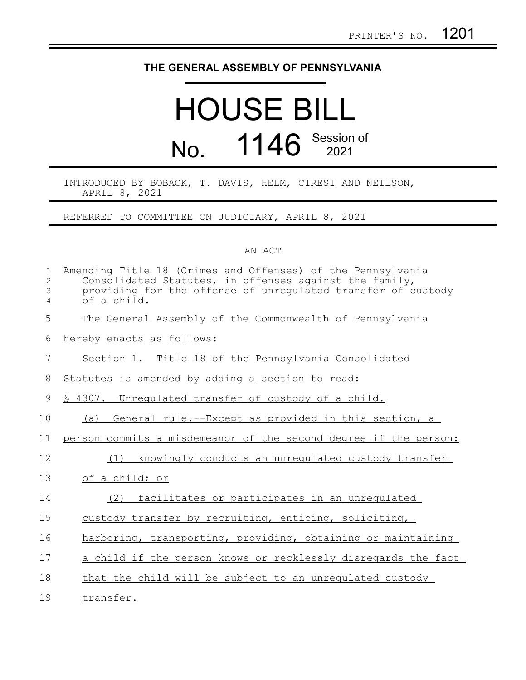## **THE GENERAL ASSEMBLY OF PENNSYLVANIA**

## HOUSE BILL No. 1146 Session of

INTRODUCED BY BOBACK, T. DAVIS, HELM, CIRESI AND NEILSON, APRIL 8, 2021

REFERRED TO COMMITTEE ON JUDICIARY, APRIL 8, 2021

## AN ACT

| $\mathbf{1}$<br>$\overline{2}$<br>$\mathfrak{Z}$<br>$\overline{4}$ | Amending Title 18 (Crimes and Offenses) of the Pennsylvania<br>Consolidated Statutes, in offenses against the family,<br>providing for the offense of unregulated transfer of custody<br>of a child. |
|--------------------------------------------------------------------|------------------------------------------------------------------------------------------------------------------------------------------------------------------------------------------------------|
| 5                                                                  | The General Assembly of the Commonwealth of Pennsylvania                                                                                                                                             |
| 6                                                                  | hereby enacts as follows:                                                                                                                                                                            |
| 7                                                                  | Section 1. Title 18 of the Pennsylvania Consolidated                                                                                                                                                 |
| 8                                                                  | Statutes is amended by adding a section to read:                                                                                                                                                     |
| 9                                                                  | \$ 4307. Unregulated transfer of custody of a child.                                                                                                                                                 |
| 10                                                                 | (a) General rule.--Except as provided in this section, a                                                                                                                                             |
| 11                                                                 | person commits a misdemeanor of the second degree if the person:                                                                                                                                     |
| 12                                                                 | knowingly conducts an unregulated custody transfer<br>(1)                                                                                                                                            |
| 13                                                                 | of a child; or                                                                                                                                                                                       |
| 14                                                                 | facilitates or participates in an unregulated<br>(2)                                                                                                                                                 |
| 15                                                                 | custody transfer by recruiting, enticing, soliciting,                                                                                                                                                |
| 16                                                                 | harboring, transporting, providing, obtaining or maintaining                                                                                                                                         |
| 17                                                                 | a child if the person knows or recklessly disregards the fact                                                                                                                                        |
| 18                                                                 | that the child will be subject to an unrequlated custody                                                                                                                                             |
| 19                                                                 | transfer.                                                                                                                                                                                            |